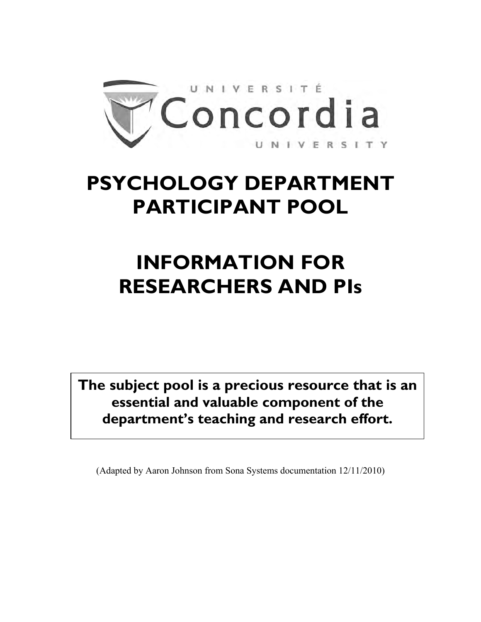

# **PSYCHOLOGY DEPARTMENT PARTICIPANT POOL**

# **INFORMATION FOR RESEARCHERS AND PIs**

**The subject pool is a precious resource that is an essential and valuable component of the department's teaching and research effort.**

(Adapted by Aaron Johnson from Sona Systems documentation 12/11/2010)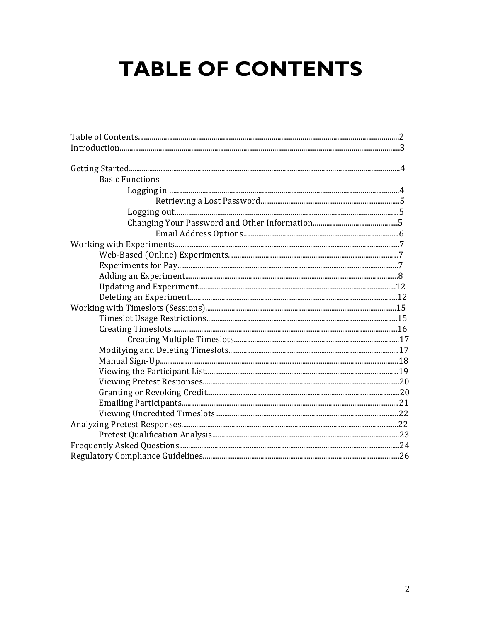# **TABLE OF CONTENTS**

| <b>Basic Functions</b> |  |
|------------------------|--|
|                        |  |
|                        |  |
|                        |  |
|                        |  |
|                        |  |
|                        |  |
|                        |  |
|                        |  |
|                        |  |
|                        |  |
|                        |  |
|                        |  |
|                        |  |
|                        |  |
|                        |  |
|                        |  |
|                        |  |
|                        |  |
|                        |  |
|                        |  |
|                        |  |
|                        |  |
|                        |  |
|                        |  |
|                        |  |
|                        |  |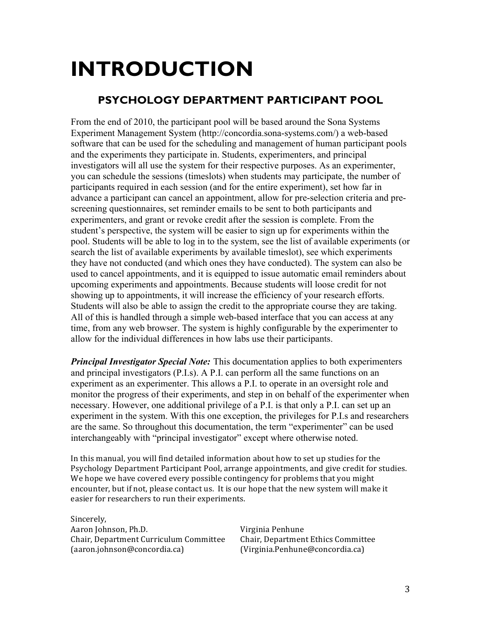# **INTRODUCTION**

## **PSYCHOLOGY DEPARTMENT PARTICIPANT POOL**

From the end of 2010, the participant pool will be based around the Sona Systems Experiment Management System (http://concordia.sona-systems.com/) a web-based software that can be used for the scheduling and management of human participant pools and the experiments they participate in. Students, experimenters, and principal investigators will all use the system for their respective purposes. As an experimenter, you can schedule the sessions (timeslots) when students may participate, the number of participants required in each session (and for the entire experiment), set how far in advance a participant can cancel an appointment, allow for pre-selection criteria and prescreening questionnaires, set reminder emails to be sent to both participants and experimenters, and grant or revoke credit after the session is complete. From the student's perspective, the system will be easier to sign up for experiments within the pool. Students will be able to log in to the system, see the list of available experiments (or search the list of available experiments by available timeslot), see which experiments they have not conducted (and which ones they have conducted). The system can also be used to cancel appointments, and it is equipped to issue automatic email reminders about upcoming experiments and appointments. Because students will loose credit for not showing up to appointments, it will increase the efficiency of your research efforts. Students will also be able to assign the credit to the appropriate course they are taking. All of this is handled through a simple web-based interface that you can access at any time, from any web browser. The system is highly configurable by the experimenter to allow for the individual differences in how labs use their participants.

*Principal Investigator Special Note:* This documentation applies to both experimenters and principal investigators (P.I.s). A P.I. can perform all the same functions on an experiment as an experimenter. This allows a P.I. to operate in an oversight role and monitor the progress of their experiments, and step in on behalf of the experimenter when necessary. However, one additional privilege of a P.I. is that only a P.I. can set up an experiment in the system. With this one exception, the privileges for P.I.s and researchers are the same. So throughout this documentation, the term "experimenter" can be used interchangeably with "principal investigator" except where otherwise noted.

In this manual, you will find detailed information about how to set up studies for the Psychology Department Participant Pool, arrange appointments, and give credit for studies. We hope we have covered every possible contingency for problems that you might encounter, but if not, please contact us. It is our hope that the new system will make it easier for researchers to run their experiments.

Sincerely, Aaron Johnson, Ph.D. Virginia Penhune Chair, Department Curriculum Committee Chair, Department Ethics Committee (aaron.johnson@concordia.ca) (Virginia.Penhune@concordia.ca)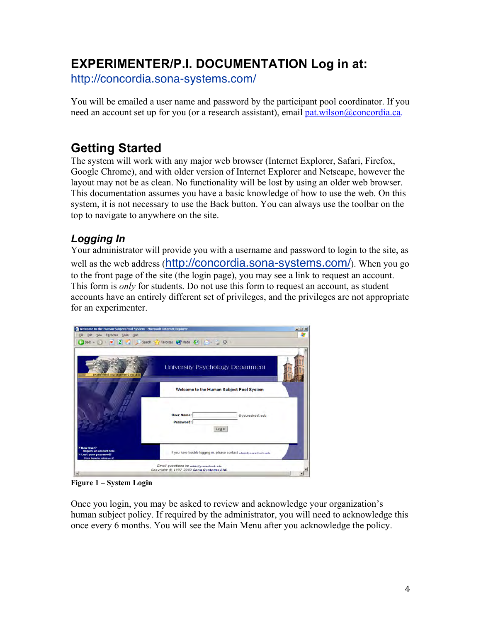# **EXPERIMENTER/P.I. DOCUMENTATION Log in at:**

http://concordia.sona-systems.com/

You will be emailed a user name and password by the participant pool coordinator. If you need an account set up for you (or a research assistant), email pat.wilson@concordia.ca.

## **Getting Started**

The system will work with any major web browser (Internet Explorer, Safari, Firefox, Google Chrome), and with older version of Internet Explorer and Netscape, however the layout may not be as clean. No functionality will be lost by using an older web browser. This documentation assumes you have a basic knowledge of how to use the web. On this system, it is not necessary to use the Back button. You can always use the toolbar on the top to navigate to anywhere on the site.

## *Logging In*

Your administrator will provide you with a username and password to login to the site, as well as the web address (http://concordia.sona-systems.com/). When you go to the front page of the site (the login page), you may see a link to request an account. This form is *only* for students. Do not use this form to request an account, as student accounts have an entirely different set of privileges, and the privileges are not appropriate for an experimenter.



**Figure 1 – System Login**

Once you login, you may be asked to review and acknowledge your organization's human subject policy. If required by the administrator, you will need to acknowledge this once every 6 months. You will see the Main Menu after you acknowledge the policy.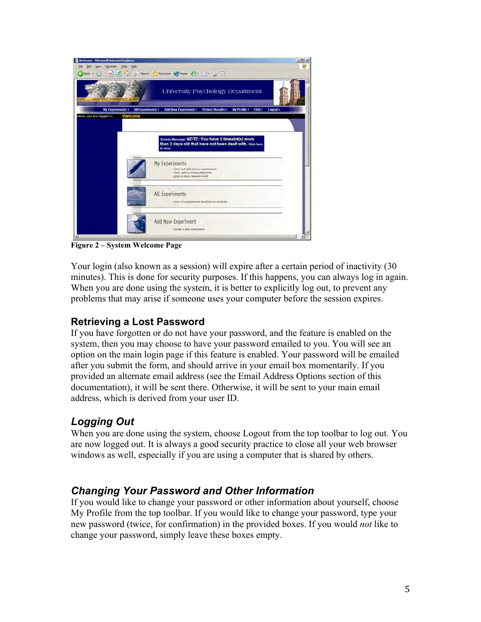

**Figure 2 – System Welcome Page**

Your login (also known as a session) will expire after a certain period of inactivity (30 minutes). This is done for security purposes. If this happens, you can always log in again. When you are done using the system, it is better to explicitly log out, to prevent any problems that may arise if someone uses your computer before the session expires.

## **Retrieving a Lost Password**

If you have forgotten or do not have your password, and the feature is enabled on the system, then you may choose to have your password emailed to you. You will see an option on the main login page if this feature is enabled. Your password will be emailed after you submit the form, and should arrive in your email box momentarily. If you provided an alternate email address (see the Email Address Options section of this documentation), it will be sent there. Otherwise, it will be sent to your main email address, which is derived from your user ID.

## *Logging Out*

When you are done using the system, choose Logout from the top toolbar to log out. You are now logged out. It is always a good security practice to close all your web browser windows as well, especially if you are using a computer that is shared by others.

## *Changing Your Password and Other Information*

If you would like to change your password or other information about yourself, choose My Profile from the top toolbar. If you would like to change your password, type your new password (twice, for confirmation) in the provided boxes. If you would *not* like to change your password, simply leave these boxes empty.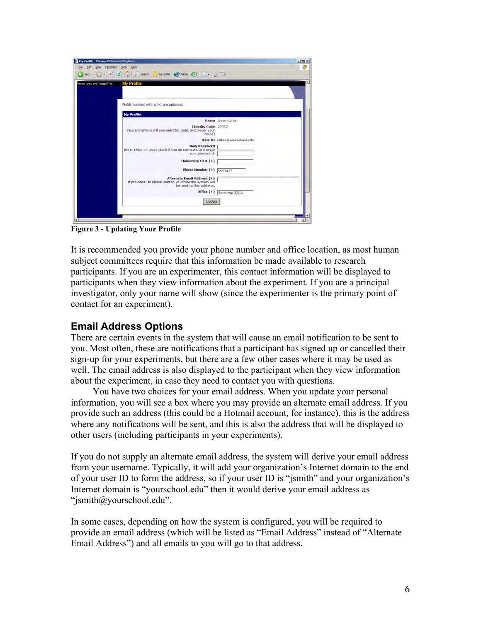

**Figure 3 - Updating Your Profile**

It is recommended you provide your phone number and office location, as most human subject committees require that this information be made available to research participants. If you are an experimenter, this contact information will be displayed to participants when they view information about the experiment. If you are a principal investigator, only your name will show (since the experimenter is the primary point of contact for an experiment).

### **Email Address Options**

There are certain events in the system that will cause an email notification to be sent to you. Most often, these are notifications that a participant has signed up or cancelled their sign-up for your experiments, but there are a few other cases where it may be used as well. The email address is also displayed to the participant when they view information about the experiment, in case they need to contact you with questions.

You have two choices for your email address. When you update your personal information, you will see a box where you may provide an alternate email address. If you provide such an address (this could be a Hotmail account, for instance), this is the address where any notifications will be sent, and this is also the address that will be displayed to other users (including participants in your experiments).

If you do not supply an alternate email address, the system will derive your email address from your username. Typically, it will add your organization's Internet domain to the end of your user ID to form the address, so if your user ID is "jsmith" and your organization's Internet domain is "yourschool.edu" then it would derive your email address as "jsmith@yourschool.edu".

In some cases, depending on how the system is configured, you will be required to provide an email address (which will be listed as "Email Address" instead of "Alternate Email Address") and all emails to you will go to that address.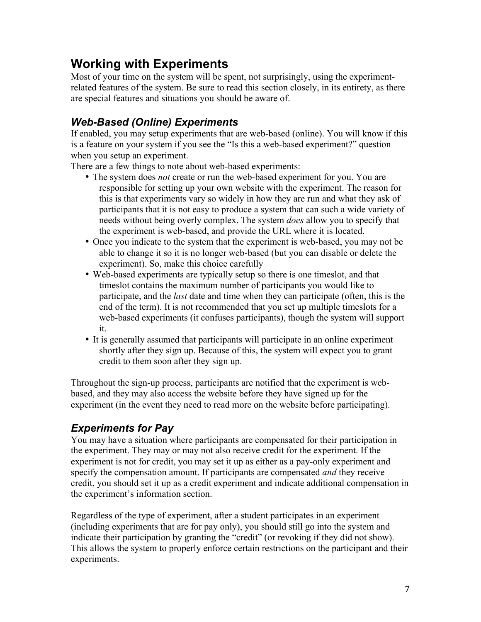# **Working with Experiments**

Most of your time on the system will be spent, not surprisingly, using the experimentrelated features of the system. Be sure to read this section closely, in its entirety, as there are special features and situations you should be aware of.

## *Web-Based (Online) Experiments*

If enabled, you may setup experiments that are web-based (online). You will know if this is a feature on your system if you see the "Is this a web-based experiment?" question when you setup an experiment.

There are a few things to note about web-based experiments:

- The system does *not* create or run the web-based experiment for you. You are responsible for setting up your own website with the experiment. The reason for this is that experiments vary so widely in how they are run and what they ask of participants that it is not easy to produce a system that can such a wide variety of needs without being overly complex. The system *does* allow you to specify that the experiment is web-based, and provide the URL where it is located.
- Once you indicate to the system that the experiment is web-based, you may not be able to change it so it is no longer web-based (but you can disable or delete the experiment). So, make this choice carefully
- Web-based experiments are typically setup so there is one timeslot, and that timeslot contains the maximum number of participants you would like to participate, and the *last* date and time when they can participate (often, this is the end of the term). It is not recommended that you set up multiple timeslots for a web-based experiments (it confuses participants), though the system will support it.
- It is generally assumed that participants will participate in an online experiment shortly after they sign up. Because of this, the system will expect you to grant credit to them soon after they sign up.

Throughout the sign-up process, participants are notified that the experiment is webbased, and they may also access the website before they have signed up for the experiment (in the event they need to read more on the website before participating).

## *Experiments for Pay*

You may have a situation where participants are compensated for their participation in the experiment. They may or may not also receive credit for the experiment. If the experiment is not for credit, you may set it up as either as a pay-only experiment and specify the compensation amount. If participants are compensated *and* they receive credit, you should set it up as a credit experiment and indicate additional compensation in the experiment's information section.

Regardless of the type of experiment, after a student participates in an experiment (including experiments that are for pay only), you should still go into the system and indicate their participation by granting the "credit" (or revoking if they did not show). This allows the system to properly enforce certain restrictions on the participant and their experiments.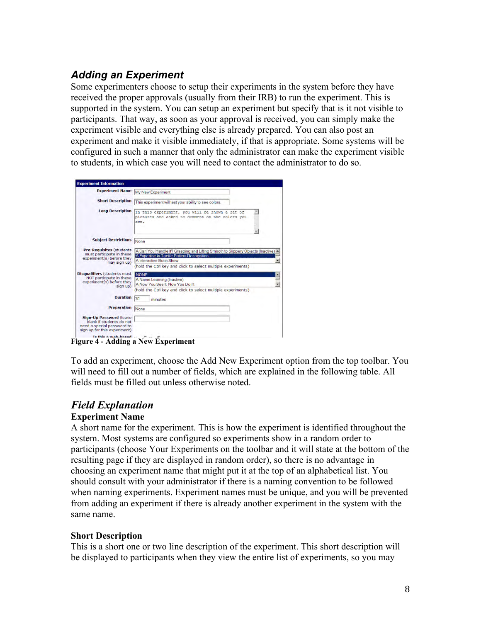## *Adding an Experiment*

Some experimenters choose to setup their experiments in the system before they have received the proper approvals (usually from their IRB) to run the experiment. This is supported in the system. You can setup an experiment but specify that is it not visible to participants. That way, as soon as your approval is received, you can simply make the experiment visible and everything else is already prepared. You can also post an experiment and make it visible immediately, if that is appropriate. Some systems will be configured in such a manner that only the administrator can make the experiment visible to students, in which case you will need to contact the administrator to do so.

| <b>Experiment Name</b>                                                                                            | My New Experiment                                                                                                                                                                                                         |
|-------------------------------------------------------------------------------------------------------------------|---------------------------------------------------------------------------------------------------------------------------------------------------------------------------------------------------------------------------|
| <b>Short Description</b>                                                                                          | This experiment will test your ability to see colors.                                                                                                                                                                     |
| <b>Long Description</b>                                                                                           | In this experiment, you will be shown a set of<br>pictures and asked to comment on the colors you<br>see.                                                                                                                 |
| <b>Subject Restrictions</b>                                                                                       | None                                                                                                                                                                                                                      |
| <b>Pre-Requisites (students)</b><br>must participate in these<br>experiment(s) before they<br>may sign up)        | A Can You Handle It? Grasping and Lifting Smooth to Slippery Objects (Inactive)<br>A Expertise in Tactile Pattern Recognition<br>A Interactive Brain Show<br>(hold the Ctrl key and click to select multiple experiments) |
| <b>Disqualifiers (students must)</b><br>NOT participate in these<br>experiment(s) before they<br>sign up)         | <b>NONE</b><br>A Name Learning (Inactive)<br>A Now You See It Now You Don't<br>(hold the Ctrl key and click to select multiple experiments)                                                                               |
| <b>Duration</b>                                                                                                   | 30<br>minutes                                                                                                                                                                                                             |
| <b>Preparation</b>                                                                                                | None                                                                                                                                                                                                                      |
| Sign-Up Password (leave<br>blank if students do not<br>need a special password to<br>sign up for this experiment) |                                                                                                                                                                                                                           |
| Te thie a woh hazed                                                                                               |                                                                                                                                                                                                                           |

**Figure 4 - Adding a New Experiment**

To add an experiment, choose the Add New Experiment option from the top toolbar. You will need to fill out a number of fields, which are explained in the following table. All fields must be filled out unless otherwise noted.

## *Field Explanation*

### **Experiment Name**

A short name for the experiment. This is how the experiment is identified throughout the system. Most systems are configured so experiments show in a random order to participants (choose Your Experiments on the toolbar and it will state at the bottom of the resulting page if they are displayed in random order), so there is no advantage in choosing an experiment name that might put it at the top of an alphabetical list. You should consult with your administrator if there is a naming convention to be followed when naming experiments. Experiment names must be unique, and you will be prevented from adding an experiment if there is already another experiment in the system with the same name.

#### **Short Description**

This is a short one or two line description of the experiment. This short description will be displayed to participants when they view the entire list of experiments, so you may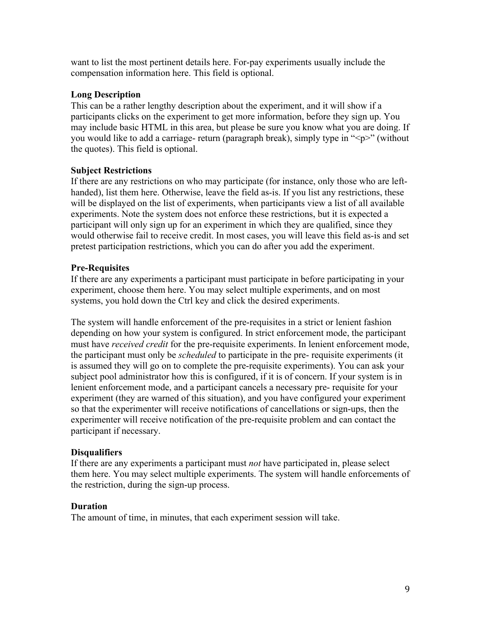want to list the most pertinent details here. For-pay experiments usually include the compensation information here. This field is optional.

#### **Long Description**

This can be a rather lengthy description about the experiment, and it will show if a participants clicks on the experiment to get more information, before they sign up. You may include basic HTML in this area, but please be sure you know what you are doing. If you would like to add a carriage- return (paragraph break), simply type in "<p>" (without the quotes). This field is optional.

#### **Subject Restrictions**

If there are any restrictions on who may participate (for instance, only those who are lefthanded), list them here. Otherwise, leave the field as-is. If you list any restrictions, these will be displayed on the list of experiments, when participants view a list of all available experiments. Note the system does not enforce these restrictions, but it is expected a participant will only sign up for an experiment in which they are qualified, since they would otherwise fail to receive credit. In most cases, you will leave this field as-is and set pretest participation restrictions, which you can do after you add the experiment.

#### **Pre-Requisites**

If there are any experiments a participant must participate in before participating in your experiment, choose them here. You may select multiple experiments, and on most systems, you hold down the Ctrl key and click the desired experiments.

The system will handle enforcement of the pre-requisites in a strict or lenient fashion depending on how your system is configured. In strict enforcement mode, the participant must have *received credit* for the pre-requisite experiments. In lenient enforcement mode, the participant must only be *scheduled* to participate in the pre- requisite experiments (it is assumed they will go on to complete the pre-requisite experiments). You can ask your subject pool administrator how this is configured, if it is of concern. If your system is in lenient enforcement mode, and a participant cancels a necessary pre- requisite for your experiment (they are warned of this situation), and you have configured your experiment so that the experimenter will receive notifications of cancellations or sign-ups, then the experimenter will receive notification of the pre-requisite problem and can contact the participant if necessary.

#### **Disqualifiers**

If there are any experiments a participant must *not* have participated in, please select them here. You may select multiple experiments. The system will handle enforcements of the restriction, during the sign-up process.

#### **Duration**

The amount of time, in minutes, that each experiment session will take.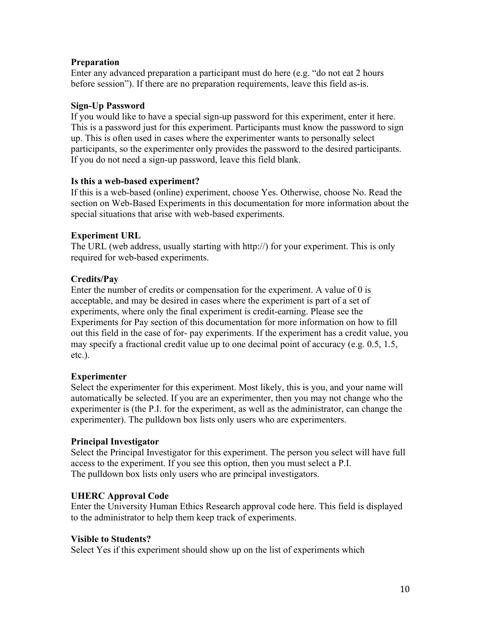#### **Preparation**

Enter any advanced preparation a participant must do here (e.g. "do not eat 2 hours before session"). If there are no preparation requirements, leave this field as-is.

#### **Sign-Up Password**

If you would like to have a special sign-up password for this experiment, enter it here. This is a password just for this experiment. Participants must know the password to sign up. This is often used in cases where the experimenter wants to personally select participants, so the experimenter only provides the password to the desired participants. If you do not need a sign-up password, leave this field blank.

#### **Is this a web-based experiment?**

If this is a web-based (online) experiment, choose Yes. Otherwise, choose No. Read the section on Web-Based Experiments in this documentation for more information about the special situations that arise with web-based experiments.

#### **Experiment URL**

The URL (web address, usually starting with http://) for your experiment. This is only required for web-based experiments.

#### **Credits/Pay**

Enter the number of credits or compensation for the experiment. A value of 0 is acceptable, and may be desired in cases where the experiment is part of a set of experiments, where only the final experiment is credit-earning. Please see the Experiments for Pay section of this documentation for more information on how to fill out this field in the case of for- pay experiments. If the experiment has a credit value, you may specify a fractional credit value up to one decimal point of accuracy (e.g. 0.5, 1.5, etc.).

#### **Experimenter**

Select the experimenter for this experiment. Most likely, this is you, and your name will automatically be selected. If you are an experimenter, then you may not change who the experimenter is (the P.I. for the experiment, as well as the administrator, can change the experimenter). The pulldown box lists only users who are experimenters.

#### **Principal Investigator**

Select the Principal Investigator for this experiment. The person you select will have full access to the experiment. If you see this option, then you must select a P.I. The pulldown box lists only users who are principal investigators.

#### **UHERC Approval Code**

Enter the University Human Ethics Research approval code here. This field is displayed to the administrator to help them keep track of experiments.

#### **Visible to Students?**

Select Yes if this experiment should show up on the list of experiments which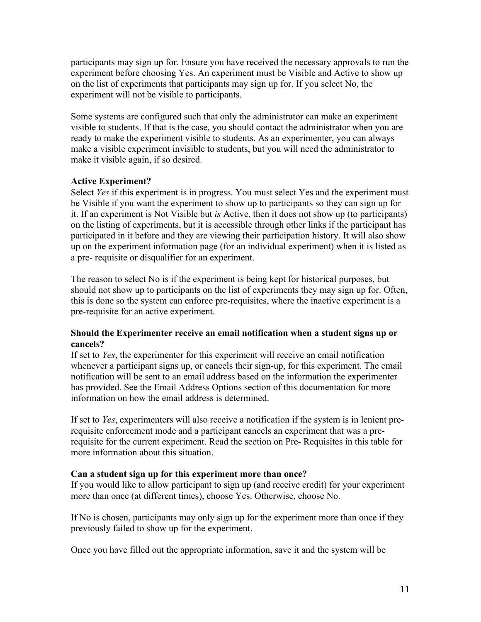participants may sign up for. Ensure you have received the necessary approvals to run the experiment before choosing Yes. An experiment must be Visible and Active to show up on the list of experiments that participants may sign up for. If you select No, the experiment will not be visible to participants.

Some systems are configured such that only the administrator can make an experiment visible to students. If that is the case, you should contact the administrator when you are ready to make the experiment visible to students. As an experimenter, you can always make a visible experiment invisible to students, but you will need the administrator to make it visible again, if so desired.

#### **Active Experiment?**

Select *Yes* if this experiment is in progress. You must select Yes and the experiment must be Visible if you want the experiment to show up to participants so they can sign up for it. If an experiment is Not Visible but *is* Active, then it does not show up (to participants) on the listing of experiments, but it is accessible through other links if the participant has participated in it before and they are viewing their participation history. It will also show up on the experiment information page (for an individual experiment) when it is listed as a pre- requisite or disqualifier for an experiment.

The reason to select No is if the experiment is being kept for historical purposes, but should not show up to participants on the list of experiments they may sign up for. Often, this is done so the system can enforce pre-requisites, where the inactive experiment is a pre-requisite for an active experiment.

#### **Should the Experimenter receive an email notification when a student signs up or cancels?**

If set to *Yes*, the experimenter for this experiment will receive an email notification whenever a participant signs up, or cancels their sign-up, for this experiment. The email notification will be sent to an email address based on the information the experimenter has provided. See the Email Address Options section of this documentation for more information on how the email address is determined.

If set to *Yes*, experimenters will also receive a notification if the system is in lenient prerequisite enforcement mode and a participant cancels an experiment that was a prerequisite for the current experiment. Read the section on Pre- Requisites in this table for more information about this situation.

#### **Can a student sign up for this experiment more than once?**

If you would like to allow participant to sign up (and receive credit) for your experiment more than once (at different times), choose Yes. Otherwise, choose No.

If No is chosen, participants may only sign up for the experiment more than once if they previously failed to show up for the experiment.

Once you have filled out the appropriate information, save it and the system will be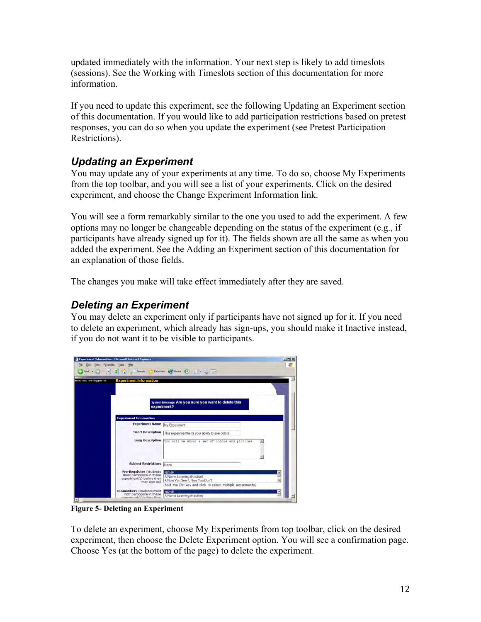updated immediately with the information. Your next step is likely to add timeslots (sessions). See the Working with Timeslots section of this documentation for more information.

If you need to update this experiment, see the following Updating an Experiment section of this documentation. If you would like to add participation restrictions based on pretest responses, you can do so when you update the experiment (see Pretest Participation Restrictions).

## *Updating an Experiment*

You may update any of your experiments at any time. To do so, choose My Experiments from the top toolbar, and you will see a list of your experiments. Click on the desired experiment, and choose the Change Experiment Information link.

You will see a form remarkably similar to the one you used to add the experiment. A few options may no longer be changeable depending on the status of the experiment (e.g., if participants have already signed up for it). The fields shown are all the same as when you added the experiment. See the Adding an Experiment section of this documentation for an explanation of those fields.

The changes you make will take effect immediately after they are saved.

## *Deleting an Experiment*

You may delete an experiment only if participants have not signed up for it. If you need to delete an experiment, which already has sign-ups, you should make it Inactive instead, if you do not want it to be visible to participants.



**Figure 5- Deleting an Experiment**

To delete an experiment, choose My Experiments from top toolbar, click on the desired experiment, then choose the Delete Experiment option. You will see a confirmation page. Choose Yes (at the bottom of the page) to delete the experiment.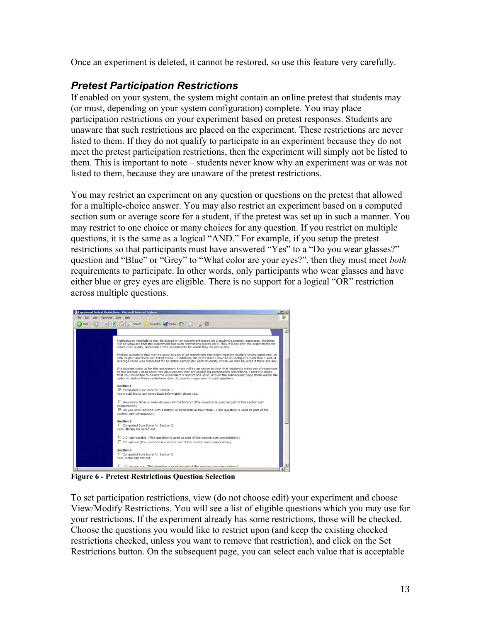Once an experiment is deleted, it cannot be restored, so use this feature very carefully.

## *Pretest Participation Restrictions*

If enabled on your system, the system might contain an online pretest that students may (or must, depending on your system configuration) complete. You may place participation restrictions on your experiment based on pretest responses. Students are unaware that such restrictions are placed on the experiment. These restrictions are never listed to them. If they do not qualify to participate in an experiment because they do not meet the pretest participation restrictions, then the experiment will simply not be listed to them. This is important to note – students never know why an experiment was or was not listed to them, because they are unaware of the pretest restrictions.

You may restrict an experiment on any question or questions on the pretest that allowed for a multiple-choice answer. You may also restrict an experiment based on a computed section sum or average score for a student, if the pretest was set up in such a manner. You may restrict to one choice or many choices for any question. If you restrict on multiple questions, it is the same as a logical "AND." For example, if you setup the pretest restrictions so that participants must have answered "Yes" to a "Do you wear glasses?" question and "Blue" or "Grey" to "What color are your eyes?", then they must meet *both*  requirements to participate. In other words, only participants who wear glasses and have either blue or grey eyes are eligible. There is no support for a logical "OR" restriction across multiple questions.



**Figure 6 - Pretest Restrictions Question Selection**

To set participation restrictions, view (do not choose edit) your experiment and choose View/Modify Restrictions. You will see a list of eligible questions which you may use for your restrictions. If the experiment already has some restrictions, those will be checked. Choose the questions you would like to restrict upon (and keep the existing checked restrictions checked, unless you want to remove that restriction), and click on the Set Restrictions button. On the subsequent page, you can select each value that is acceptable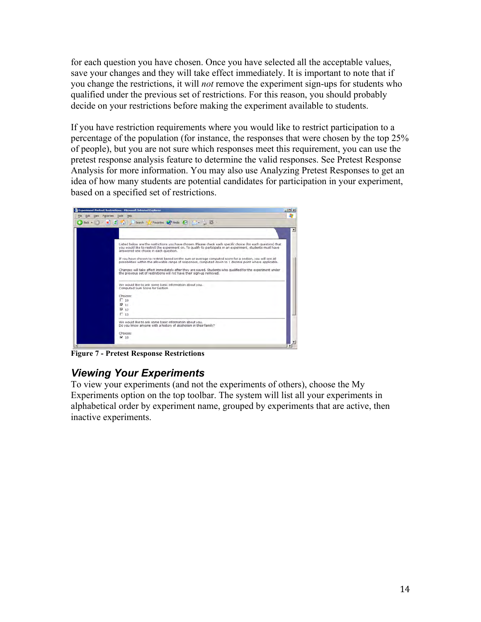for each question you have chosen. Once you have selected all the acceptable values, save your changes and they will take effect immediately. It is important to note that if you change the restrictions, it will *not* remove the experiment sign-ups for students who qualified under the previous set of restrictions. For this reason, you should probably decide on your restrictions before making the experiment available to students.

If you have restriction requirements where you would like to restrict participation to a percentage of the population (for instance, the responses that were chosen by the top 25% of people), but you are not sure which responses meet this requirement, you can use the pretest response analysis feature to determine the valid responses. See Pretest Response Analysis for more information. You may also use Analyzing Pretest Responses to get an idea of how many students are potential candidates for participation in your experiment, based on a specified set of restrictions.



**Figure 7 - Pretest Response Restrictions**

## *Viewing Your Experiments*

To view your experiments (and not the experiments of others), choose the My Experiments option on the top toolbar. The system will list all your experiments in alphabetical order by experiment name, grouped by experiments that are active, then inactive experiments.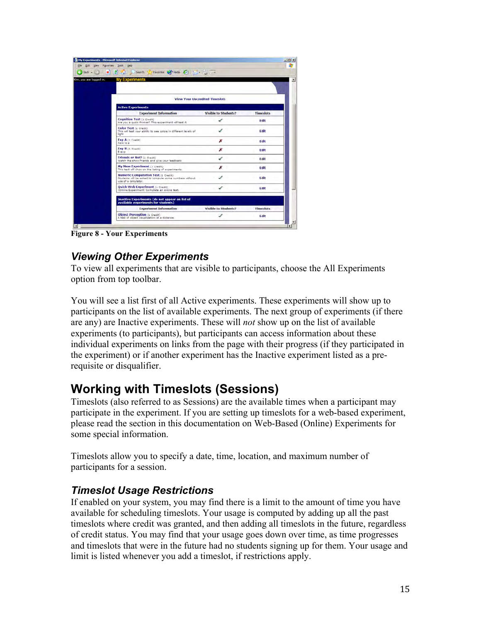| <b>View Your Uncredited Timeslats</b> |                  |
|---------------------------------------|------------------|
|                                       |                  |
| <b>Visible to Students?</b>           | <b>Timeslots</b> |
|                                       | Fdit             |
|                                       | Edit             |
| x                                     | Edit             |
| ×                                     | Edit             |
| ✔                                     | Edit             |
|                                       | Edit             |
|                                       | <b>Fdit</b>      |
|                                       | Edit             |
|                                       |                  |
| <b>Visible to Students?</b>           | <b>Timeslots</b> |
|                                       |                  |

**Figure 8 - Your Experiments**

## *Viewing Other Experiments*

To view all experiments that are visible to participants, choose the All Experiments option from top toolbar.

You will see a list first of all Active experiments. These experiments will show up to participants on the list of available experiments. The next group of experiments (if there are any) are Inactive experiments. These will *not* show up on the list of available experiments (to participants), but participants can access information about these individual experiments on links from the page with their progress (if they participated in the experiment) or if another experiment has the Inactive experiment listed as a prerequisite or disqualifier.

## **Working with Timeslots (Sessions)**

Timeslots (also referred to as Sessions) are the available times when a participant may participate in the experiment. If you are setting up timeslots for a web-based experiment, please read the section in this documentation on Web-Based (Online) Experiments for some special information.

Timeslots allow you to specify a date, time, location, and maximum number of participants for a session.

## *Timeslot Usage Restrictions*

If enabled on your system, you may find there is a limit to the amount of time you have available for scheduling timeslots. Your usage is computed by adding up all the past timeslots where credit was granted, and then adding all timeslots in the future, regardless of credit status. You may find that your usage goes down over time, as time progresses and timeslots that were in the future had no students signing up for them. Your usage and limit is listed whenever you add a timeslot, if restrictions apply.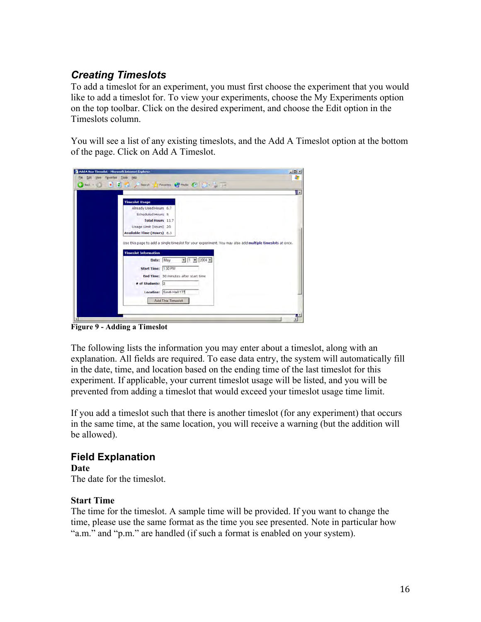## *Creating Timeslots*

To add a timeslot for an experiment, you must first choose the experiment that you would like to add a timeslot for. To view your experiments, choose the My Experiments option on the top toolbar. Click on the desired experiment, and choose the Edit option in the Timeslots column.

You will see a list of any existing timeslots, and the Add A Timeslot option at the bottom of the page. Click on Add A Timeslot.



**Figure 9 - Adding a Timeslot**

The following lists the information you may enter about a timeslot, along with an explanation. All fields are required. To ease data entry, the system will automatically fill in the date, time, and location based on the ending time of the last timeslot for this experiment. If applicable, your current timeslot usage will be listed, and you will be prevented from adding a timeslot that would exceed your timeslot usage time limit.

If you add a timeslot such that there is another timeslot (for any experiment) that occurs in the same time, at the same location, you will receive a warning (but the addition will be allowed).

# **Field Explanation**

**Date** The date for the timeslot.

### **Start Time**

The time for the timeslot. A sample time will be provided. If you want to change the time, please use the same format as the time you see presented. Note in particular how "a.m." and "p.m." are handled (if such a format is enabled on your system).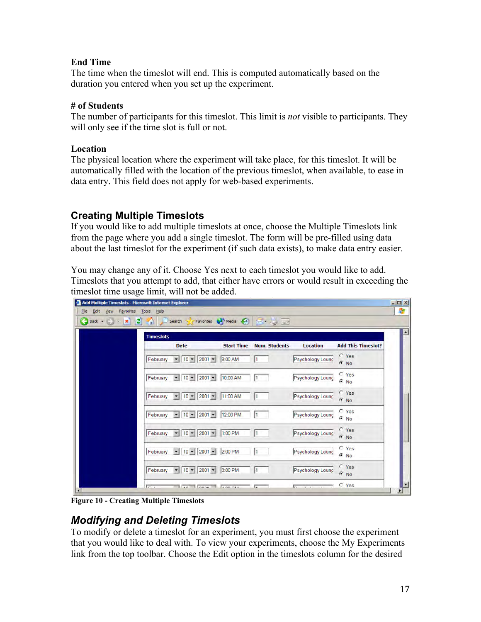### **End Time**

The time when the timeslot will end. This is computed automatically based on the duration you entered when you set up the experiment.

### **# of Students**

The number of participants for this timeslot. This limit is *not* visible to participants. They will only see if the time slot is full or not.

## **Location**

The physical location where the experiment will take place, for this timeslot. It will be automatically filled with the location of the previous timeslot, when available, to ease in data entry. This field does not apply for web-based experiments.

## **Creating Multiple Timeslots**

If you would like to add multiple timeslots at once, choose the Multiple Timeslots link from the page where you add a single timeslot. The form will be pre-filled using data about the last timeslot for the experiment (if such data exists), to make data entry easier.

You may change any of it. Choose Yes next to each timeslot you would like to add. Timeslots that you attempt to add, that either have errors or would result in exceeding the timeslot time usage limit, will not be added.

| <b>Timeslots</b>                                                                              |          |                                 |                  |                           |
|-----------------------------------------------------------------------------------------------|----------|---------------------------------|------------------|---------------------------|
| <b>Date</b>                                                                                   |          | <b>Start Time Num. Students</b> | <b>Location</b>  | <b>Add This Timeslot?</b> |
| $- 10 - 2001 -$<br>February                                                                   | 9:00 AM  |                                 | Psychology Loung | $\Gamma$ Yes<br>$C$ No    |
| February $\vert \mathbf{v} \vert \vert 10 \vert \mathbf{v} \vert 2001 \vert \mathbf{v} \vert$ | 10:00 AM |                                 | Psychology Loung | $C$ Yes<br>$C$ No         |
| $\bullet$ 10 $\bullet$ 2001 $\bullet$ 11:00 AM<br>February                                    |          |                                 | Psychology Loung | $C$ Yes<br>$G$ No         |
| $\bullet$ 10 $\bullet$ 2001 $\bullet$<br>February                                             | 12:00 PM |                                 | Psychology Loung | $\cap$ Yes<br>$C$ No      |
| February - 10 - 2001 - 1:00 PM                                                                |          | l1                              | Psychology Loung | $C$ Yes<br>$G$ No         |
| $\bullet$ 10 $\bullet$ 2001 $\bullet$ 200 PM<br>February                                      |          |                                 | Psychology Loung | $C$ Yes<br>$C$ No         |
| February - 10 - 2001 - 3:00 PM                                                                |          | 1                               | Psychology Loung | $C$ Yes<br>$G$ No         |

**Figure 10 - Creating Multiple Timeslots**

## *Modifying and Deleting Timeslots*

To modify or delete a timeslot for an experiment, you must first choose the experiment that you would like to deal with. To view your experiments, choose the My Experiments link from the top toolbar. Choose the Edit option in the timeslots column for the desired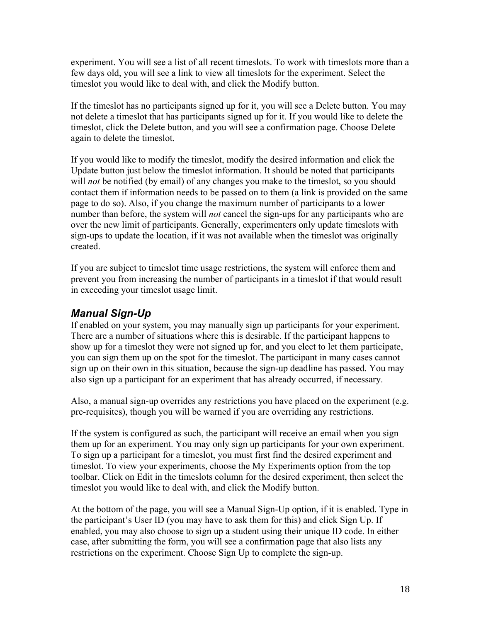experiment. You will see a list of all recent timeslots. To work with timeslots more than a few days old, you will see a link to view all timeslots for the experiment. Select the timeslot you would like to deal with, and click the Modify button.

If the timeslot has no participants signed up for it, you will see a Delete button. You may not delete a timeslot that has participants signed up for it. If you would like to delete the timeslot, click the Delete button, and you will see a confirmation page. Choose Delete again to delete the timeslot.

If you would like to modify the timeslot, modify the desired information and click the Update button just below the timeslot information. It should be noted that participants will *not* be notified (by email) of any changes you make to the timeslot, so you should contact them if information needs to be passed on to them (a link is provided on the same page to do so). Also, if you change the maximum number of participants to a lower number than before, the system will *not* cancel the sign-ups for any participants who are over the new limit of participants. Generally, experimenters only update timeslots with sign-ups to update the location, if it was not available when the timeslot was originally created.

If you are subject to timeslot time usage restrictions, the system will enforce them and prevent you from increasing the number of participants in a timeslot if that would result in exceeding your timeslot usage limit.

## *Manual Sign-Up*

If enabled on your system, you may manually sign up participants for your experiment. There are a number of situations where this is desirable. If the participant happens to show up for a timeslot they were not signed up for, and you elect to let them participate, you can sign them up on the spot for the timeslot. The participant in many cases cannot sign up on their own in this situation, because the sign-up deadline has passed. You may also sign up a participant for an experiment that has already occurred, if necessary.

Also, a manual sign-up overrides any restrictions you have placed on the experiment (e.g. pre-requisites), though you will be warned if you are overriding any restrictions.

If the system is configured as such, the participant will receive an email when you sign them up for an experiment. You may only sign up participants for your own experiment. To sign up a participant for a timeslot, you must first find the desired experiment and timeslot. To view your experiments, choose the My Experiments option from the top toolbar. Click on Edit in the timeslots column for the desired experiment, then select the timeslot you would like to deal with, and click the Modify button.

At the bottom of the page, you will see a Manual Sign-Up option, if it is enabled. Type in the participant's User ID (you may have to ask them for this) and click Sign Up. If enabled, you may also choose to sign up a student using their unique ID code. In either case, after submitting the form, you will see a confirmation page that also lists any restrictions on the experiment. Choose Sign Up to complete the sign-up.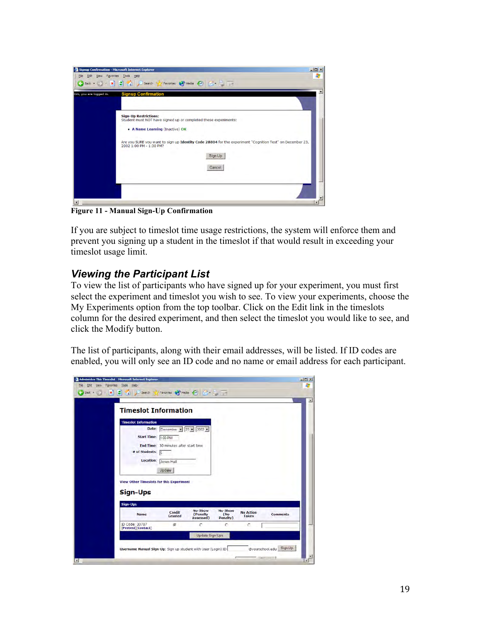| Gm, you are logged in. | <b>Signup Confirmation</b>                                                                                                                     |
|------------------------|------------------------------------------------------------------------------------------------------------------------------------------------|
|                        | <b>Sign-Up Restrictions:</b><br>Student must NOT have signed up or completed these experiments:<br>• A Name Learning (Inactive) OK             |
|                        | Are you SURE you want to sign up Identity Code 28804 for the experiment "Cognition Test" on December 23,<br>2002 1:00 PM - 1:30 PM?<br>Sign Up |
|                        | Cancel                                                                                                                                         |

**Figure 11 - Manual Sign-Up Confirmation**

If you are subject to timeslot time usage restrictions, the system will enforce them and prevent you signing up a student in the timeslot if that would result in exceeding your timeslot usage limit.

## *Viewing the Participant List*

To view the list of participants who have signed up for your experiment, you must first select the experiment and timeslot you wish to see. To view your experiments, choose the My Experiments option from the top toolbar. Click on the Edit link in the timeslots column for the desired experiment, and then select the timeslot you would like to see, and click the Modify button.

The list of participants, along with their email addresses, will be listed. If ID codes are enabled, you will only see an ID code and no name or email address for each participant.

| <b>Timeslot Information</b>                     |                                       |                                  |                                                 |                           |                 |
|-------------------------------------------------|---------------------------------------|----------------------------------|-------------------------------------------------|---------------------------|-----------------|
| <b>Timeslot Information</b>                     |                                       |                                  |                                                 |                           |                 |
|                                                 | Date: December = $23 = 2002$ =        |                                  |                                                 |                           |                 |
| Start Time: 1:00 PM                             |                                       |                                  |                                                 |                           |                 |
|                                                 |                                       |                                  |                                                 |                           |                 |
| # of Students: 5                                | End Time: 30 minutes after start time |                                  |                                                 |                           |                 |
|                                                 |                                       |                                  |                                                 |                           |                 |
| Location: Jones Hall                            |                                       |                                  |                                                 |                           |                 |
|                                                 | Update                                |                                  |                                                 |                           |                 |
| <b>View Other Timeslots for this Experiment</b> |                                       |                                  |                                                 |                           |                 |
| Sign-Ups                                        |                                       |                                  |                                                 |                           |                 |
| <b>Sign-Ups</b>                                 |                                       |                                  |                                                 |                           |                 |
| <b>Name</b>                                     | <b>Credit</b><br>Granted              | No-Show<br>(Penalty<br>Assessed) | <b>No-Show</b><br>(M <sub>o</sub> )<br>Penalty) | <b>No Action</b><br>Taken | <b>Comments</b> |
| ID Code: 30787<br>[Pretest][Contact]            | $\sigma$                              | с                                | с                                               | C                         |                 |
|                                                 |                                       | Update Sign-Ups                  |                                                 |                           |                 |
|                                                 |                                       |                                  |                                                 |                           |                 |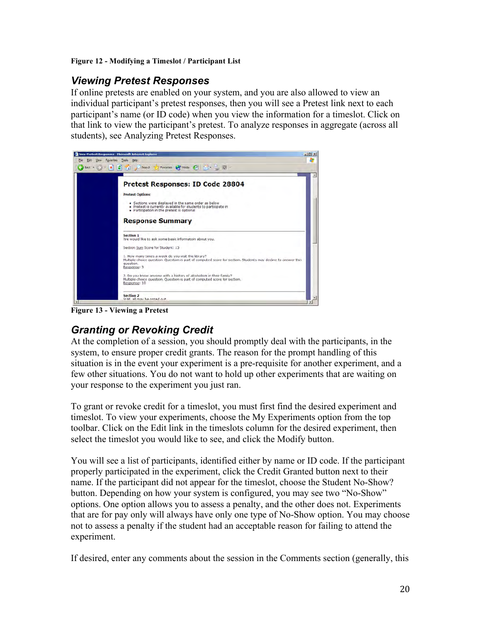#### **Figure 12 - Modifying a Timeslot / Participant List**

## *Viewing Pretest Responses*

If online pretests are enabled on your system, and you are also allowed to view an individual participant's pretest responses, then you will see a Pretest link next to each participant's name (or ID code) when you view the information for a timeslot. Click on that link to view the participant's pretest. To analyze responses in aggregate (across all students), see Analyzing Pretest Responses.



**Figure 13 - Viewing a Pretest**

## *Granting or Revoking Credit*

At the completion of a session, you should promptly deal with the participants, in the system, to ensure proper credit grants. The reason for the prompt handling of this situation is in the event your experiment is a pre-requisite for another experiment, and a few other situations. You do not want to hold up other experiments that are waiting on your response to the experiment you just ran.

To grant or revoke credit for a timeslot, you must first find the desired experiment and timeslot. To view your experiments, choose the My Experiments option from the top toolbar. Click on the Edit link in the timeslots column for the desired experiment, then select the timeslot you would like to see, and click the Modify button.

You will see a list of participants, identified either by name or ID code. If the participant properly participated in the experiment, click the Credit Granted button next to their name. If the participant did not appear for the timeslot, choose the Student No-Show? button. Depending on how your system is configured, you may see two "No-Show" options. One option allows you to assess a penalty, and the other does not. Experiments that are for pay only will always have only one type of No-Show option. You may choose not to assess a penalty if the student had an acceptable reason for failing to attend the experiment.

If desired, enter any comments about the session in the Comments section (generally, this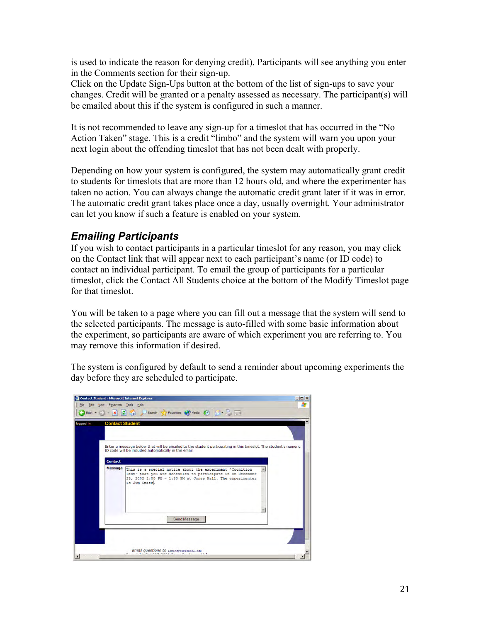is used to indicate the reason for denying credit). Participants will see anything you enter in the Comments section for their sign-up.

Click on the Update Sign-Ups button at the bottom of the list of sign-ups to save your changes. Credit will be granted or a penalty assessed as necessary. The participant(s) will be emailed about this if the system is configured in such a manner.

It is not recommended to leave any sign-up for a timeslot that has occurred in the "No Action Taken" stage. This is a credit "limbo" and the system will warn you upon your next login about the offending timeslot that has not been dealt with properly.

Depending on how your system is configured, the system may automatically grant credit to students for timeslots that are more than 12 hours old, and where the experimenter has taken no action. You can always change the automatic credit grant later if it was in error. The automatic credit grant takes place once a day, usually overnight. Your administrator can let you know if such a feature is enabled on your system.

## *Emailing Participants*

If you wish to contact participants in a particular timeslot for any reason, you may click on the Contact link that will appear next to each participant's name (or ID code) to contact an individual participant. To email the group of participants for a particular timeslot, click the Contact All Students choice at the bottom of the Modify Timeslot page for that timeslot.

You will be taken to a page where you can fill out a message that the system will send to the selected participants. The message is auto-filled with some basic information about the experiment, so participants are aware of which experiment you are referring to. You may remove this information if desired.

The system is configured by default to send a reminder about upcoming experiments the day before they are scheduled to participate.

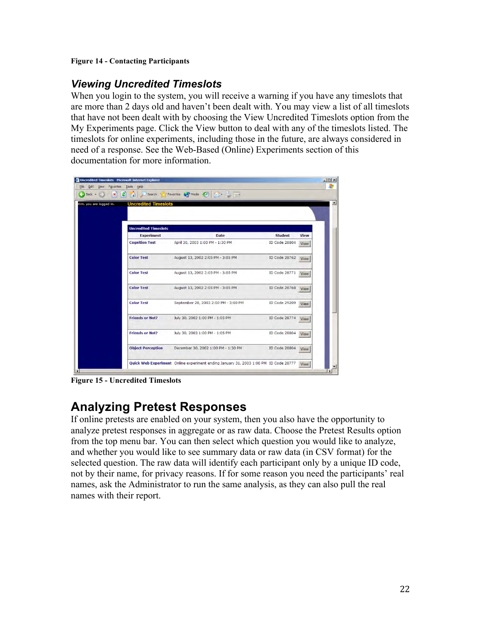#### **Figure 14 - Contacting Participants**

## *Viewing Uncredited Timeslots*

When you login to the system, you will receive a warning if you have any timeslots that are more than 2 days old and haven't been dealt with. You may view a list of all timeslots that have not been dealt with by choosing the View Uncredited Timeslots option from the My Experiments page. Click the View button to deal with any of the timeslots listed. The timeslots for online experiments, including those in the future, are always considered in need of a response. See the Web-Based (Online) Experiments section of this documentation for more information.



**Figure 15 - Uncredited Timeslots**

## **Analyzing Pretest Responses**

If online pretests are enabled on your system, then you also have the opportunity to analyze pretest responses in aggregate or as raw data. Choose the Pretest Results option from the top menu bar. You can then select which question you would like to analyze, and whether you would like to see summary data or raw data (in CSV format) for the selected question. The raw data will identify each participant only by a unique ID code, not by their name, for privacy reasons. If for some reason you need the participants' real names, ask the Administrator to run the same analysis, as they can also pull the real names with their report.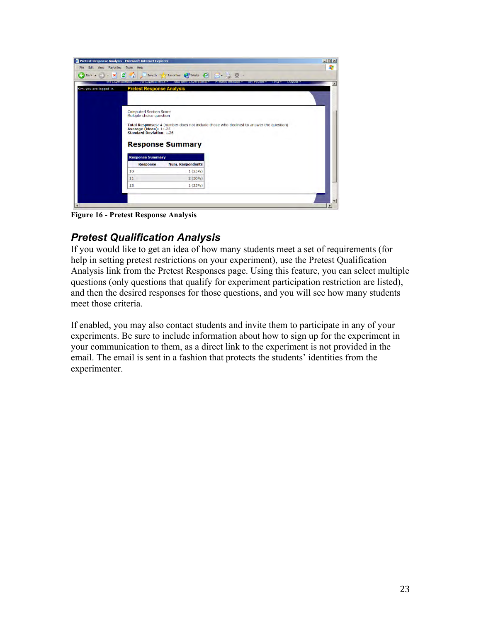

**Figure 16 - Pretest Response Analysis**

## *Pretest Qualification Analysis*

If you would like to get an idea of how many students meet a set of requirements (for help in setting pretest restrictions on your experiment), use the Pretest Qualification Analysis link from the Pretest Responses page. Using this feature, you can select multiple questions (only questions that qualify for experiment participation restriction are listed), and then the desired responses for those questions, and you will see how many students meet those criteria.

If enabled, you may also contact students and invite them to participate in any of your experiments. Be sure to include information about how to sign up for the experiment in your communication to them, as a direct link to the experiment is not provided in the email. The email is sent in a fashion that protects the students' identities from the experimenter.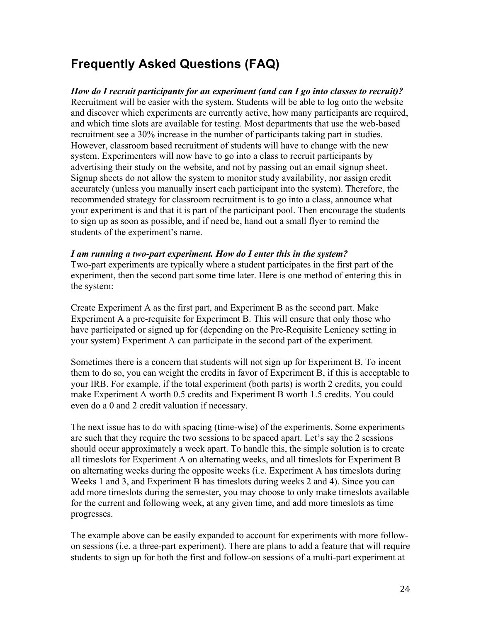## **Frequently Asked Questions (FAQ)**

*How do I recruit participants for an experiment (and can I go into classes to recruit)?* Recruitment will be easier with the system. Students will be able to log onto the website and discover which experiments are currently active, how many participants are required, and which time slots are available for testing. Most departments that use the web-based recruitment see a 30% increase in the number of participants taking part in studies. However, classroom based recruitment of students will have to change with the new system. Experimenters will now have to go into a class to recruit participants by advertising their study on the website, and not by passing out an email signup sheet. Signup sheets do not allow the system to monitor study availability, nor assign credit accurately (unless you manually insert each participant into the system). Therefore, the recommended strategy for classroom recruitment is to go into a class, announce what your experiment is and that it is part of the participant pool. Then encourage the students to sign up as soon as possible, and if need be, hand out a small flyer to remind the students of the experiment's name.

#### *I am running a two-part experiment. How do I enter this in the system?*

Two-part experiments are typically where a student participates in the first part of the experiment, then the second part some time later. Here is one method of entering this in the system:

Create Experiment A as the first part, and Experiment B as the second part. Make Experiment A a pre-requisite for Experiment B. This will ensure that only those who have participated or signed up for (depending on the Pre-Requisite Leniency setting in your system) Experiment A can participate in the second part of the experiment.

Sometimes there is a concern that students will not sign up for Experiment B. To incent them to do so, you can weight the credits in favor of Experiment B, if this is acceptable to your IRB. For example, if the total experiment (both parts) is worth 2 credits, you could make Experiment A worth 0.5 credits and Experiment B worth 1.5 credits. You could even do a 0 and 2 credit valuation if necessary.

The next issue has to do with spacing (time-wise) of the experiments. Some experiments are such that they require the two sessions to be spaced apart. Let's say the 2 sessions should occur approximately a week apart. To handle this, the simple solution is to create all timeslots for Experiment A on alternating weeks, and all timeslots for Experiment B on alternating weeks during the opposite weeks (i.e. Experiment A has timeslots during Weeks 1 and 3, and Experiment B has timeslots during weeks 2 and 4). Since you can add more timeslots during the semester, you may choose to only make timeslots available for the current and following week, at any given time, and add more timeslots as time progresses.

The example above can be easily expanded to account for experiments with more followon sessions (i.e. a three-part experiment). There are plans to add a feature that will require students to sign up for both the first and follow-on sessions of a multi-part experiment at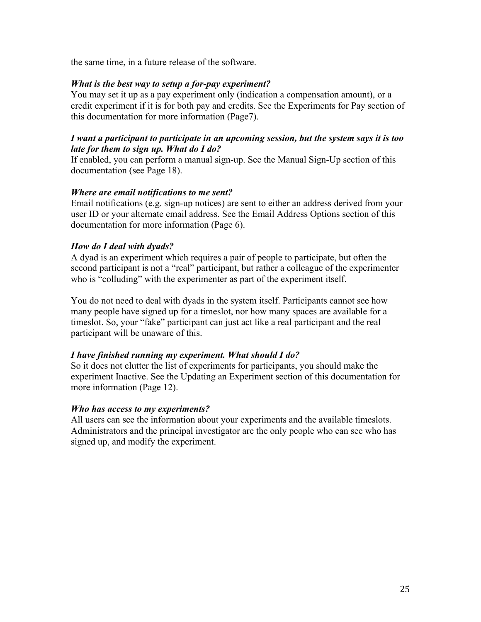the same time, in a future release of the software.

#### *What is the best way to setup a for-pay experiment?*

You may set it up as a pay experiment only (indication a compensation amount), or a credit experiment if it is for both pay and credits. See the Experiments for Pay section of this documentation for more information (Page7).

#### *I want a participant to participate in an upcoming session, but the system says it is too late for them to sign up. What do I do?*

If enabled, you can perform a manual sign-up. See the Manual Sign-Up section of this documentation (see Page 18).

#### *Where are email notifications to me sent?*

Email notifications (e.g. sign-up notices) are sent to either an address derived from your user ID or your alternate email address. See the Email Address Options section of this documentation for more information (Page 6).

#### *How do I deal with dyads?*

A dyad is an experiment which requires a pair of people to participate, but often the second participant is not a "real" participant, but rather a colleague of the experimenter who is "colluding" with the experimenter as part of the experiment itself.

You do not need to deal with dyads in the system itself. Participants cannot see how many people have signed up for a timeslot, nor how many spaces are available for a timeslot. So, your "fake" participant can just act like a real participant and the real participant will be unaware of this.

#### *I have finished running my experiment. What should I do?*

So it does not clutter the list of experiments for participants, you should make the experiment Inactive. See the Updating an Experiment section of this documentation for more information (Page 12).

#### *Who has access to my experiments?*

All users can see the information about your experiments and the available timeslots. Administrators and the principal investigator are the only people who can see who has signed up, and modify the experiment.